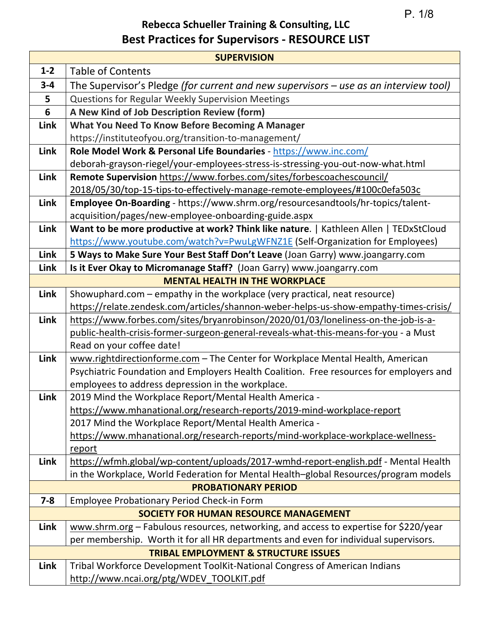P. 1/8

## **Rebecca Schueller Training & Consulting, LLC Best Practices for Supervisors - RESOURCE LIST**

| <b>SUPERVISION</b> |                                                                                                                                              |  |
|--------------------|----------------------------------------------------------------------------------------------------------------------------------------------|--|
| $1 - 2$            | <b>Table of Contents</b>                                                                                                                     |  |
| $3 - 4$            | The Supervisor's Pledge (for current and new supervisors - use as an interview tool)                                                         |  |
| 5                  | Questions for Regular Weekly Supervision Meetings                                                                                            |  |
| 6                  | A New Kind of Job Description Review (form)                                                                                                  |  |
| Link               | What You Need To Know Before Becoming A Manager                                                                                              |  |
|                    | https://instituteofyou.org/transition-to-management/                                                                                         |  |
| Link               | Role Model Work & Personal Life Boundaries - https://www.inc.com/                                                                            |  |
|                    | deborah-grayson-riegel/your-employees-stress-is-stressing-you-out-now-what.html                                                              |  |
| Link               | Remote Supervision https://www.forbes.com/sites/forbescoachescouncil/                                                                        |  |
|                    | 2018/05/30/top-15-tips-to-effectively-manage-remote-employees/#100c0efa503c                                                                  |  |
| Link               | Employee On-Boarding - https://www.shrm.org/resourcesandtools/hr-topics/talent-                                                              |  |
|                    | acquisition/pages/new-employee-onboarding-guide.aspx                                                                                         |  |
| Link               | Want to be more productive at work? Think like nature.   Kathleen Allen   TEDxStCloud                                                        |  |
|                    | https://www.youtube.com/watch?v=PwuLgWFNZ1E (Self-Organization for Employees)                                                                |  |
| Link               | 5 Ways to Make Sure Your Best Staff Don't Leave (Joan Garry) www.joangarry.com                                                               |  |
| Link               | Is it Ever Okay to Micromanage Staff? (Joan Garry) www.joangarry.com                                                                         |  |
|                    | <b>MENTAL HEALTH IN THE WORKPLACE</b>                                                                                                        |  |
| Link               | Showuphard.com – empathy in the workplace (very practical, neat resource)                                                                    |  |
|                    | https://relate.zendesk.com/articles/shannon-weber-helps-us-show-empathy-times-crisis/                                                        |  |
| Link               | https://www.forbes.com/sites/bryanrobinson/2020/01/03/loneliness-on-the-job-is-a-                                                            |  |
|                    | public-health-crisis-former-surgeon-general-reveals-what-this-means-for-you - a Must                                                         |  |
|                    | Read on your coffee date!                                                                                                                    |  |
| Link               | www.rightdirectionforme.com - The Center for Workplace Mental Health, American                                                               |  |
|                    | Psychiatric Foundation and Employers Health Coalition. Free resources for employers and<br>employees to address depression in the workplace. |  |
| Link               | 2019 Mind the Workplace Report/Mental Health America -                                                                                       |  |
|                    | https://www.mhanational.org/research-reports/2019-mind-workplace-report                                                                      |  |
|                    | 2017 Mind the Workplace Report/Mental Health America -                                                                                       |  |
|                    | https://www.mhanational.org/research-reports/mind-workplace-workplace-wellness-                                                              |  |
|                    | <u>report</u>                                                                                                                                |  |
| Link               | https://wfmh.global/wp-content/uploads/2017-wmhd-report-english.pdf - Mental Health                                                          |  |
|                    | in the Workplace, World Federation for Mental Health-global Resources/program models                                                         |  |
|                    | <b>PROBATIONARY PERIOD</b>                                                                                                                   |  |
| $7 - 8$            | <b>Employee Probationary Period Check-in Form</b>                                                                                            |  |
|                    | <b>SOCIETY FOR HUMAN RESOURCE MANAGEMENT</b>                                                                                                 |  |
| Link               | www.shrm.org - Fabulous resources, networking, and access to expertise for \$220/year                                                        |  |
|                    | per membership. Worth it for all HR departments and even for individual supervisors.                                                         |  |
|                    | <b>TRIBAL EMPLOYMENT &amp; STRUCTURE ISSUES</b>                                                                                              |  |
| Link               | Tribal Workforce Development ToolKit-National Congress of American Indians                                                                   |  |
|                    | http://www.ncai.org/ptg/WDEV TOOLKIT.pdf                                                                                                     |  |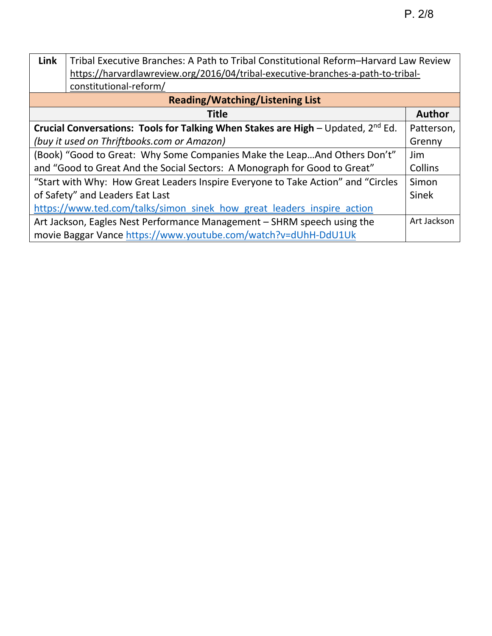| <b>Link</b>                                                                             | Tribal Executive Branches: A Path to Tribal Constitutional Reform-Harvard Law Review |               |
|-----------------------------------------------------------------------------------------|--------------------------------------------------------------------------------------|---------------|
|                                                                                         | https://harvardlawreview.org/2016/04/tribal-executive-branches-a-path-to-tribal-     |               |
|                                                                                         | constitutional-reform/                                                               |               |
| <b>Reading/Watching/Listening List</b>                                                  |                                                                                      |               |
|                                                                                         | <b>Title</b>                                                                         | <b>Author</b> |
| Crucial Conversations: Tools for Talking When Stakes are High $-$ Updated, $2^{nd}$ Ed. |                                                                                      |               |
| (buy it used on Thriftbooks.com or Amazon)                                              |                                                                                      |               |
| (Book) "Good to Great: Why Some Companies Make the LeapAnd Others Don't"                |                                                                                      |               |
| and "Good to Great And the Social Sectors: A Monograph for Good to Great"               |                                                                                      |               |
| "Start with Why: How Great Leaders Inspire Everyone to Take Action" and "Circles"       |                                                                                      |               |
| of Safety" and Leaders Eat Last                                                         |                                                                                      | Sinek         |
| https://www.ted.com/talks/simon sinek how great leaders inspire action                  |                                                                                      |               |
| Art Jackson, Eagles Nest Performance Management - SHRM speech using the                 |                                                                                      | Art Jackson   |
| movie Baggar Vance https://www.youtube.com/watch?v=dUhH-DdU1Uk                          |                                                                                      |               |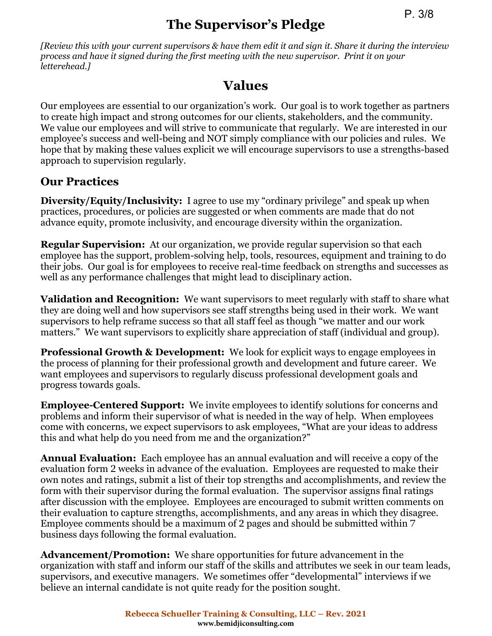# **The Supervisor's Pledge**

*[Review this with your current supervisors & have them edit it and sign it. Share it during the interview process and have it signed during the first meeting with the new supervisor. Print it on your letterehead.]* 

## **Values**

Our employees are essential to our organization's work. Our goal is to work together as partners to create high impact and strong outcomes for our clients, stakeholders, and the community. We value our employees and will strive to communicate that regularly. We are interested in our employee's success and well-being and NOT simply compliance with our policies and rules. We hope that by making these values explicit we will encourage supervisors to use a strengths-based approach to supervision regularly.

## **Our Practices**

**Diversity/Equity/Inclusivity:** I agree to use my "ordinary privilege" and speak up when practices, procedures, or policies are suggested or when comments are made that do not advance equity, promote inclusivity, and encourage diversity within the organization.

**Regular Supervision:** At our organization, we provide regular supervision so that each employee has the support, problem-solving help, tools, resources, equipment and training to do their jobs. Our goal is for employees to receive real-time feedback on strengths and successes as well as any performance challenges that might lead to disciplinary action.

**Validation and Recognition:** We want supervisors to meet regularly with staff to share what they are doing well and how supervisors see staff strengths being used in their work. We want supervisors to help reframe success so that all staff feel as though "we matter and our work matters." We want supervisors to explicitly share appreciation of staff (individual and group).

**Professional Growth & Development:** We look for explicit ways to engage employees in the process of planning for their professional growth and development and future career. We want employees and supervisors to regularly discuss professional development goals and progress towards goals.

**Employee-Centered Support:** We invite employees to identify solutions for concerns and problems and inform their supervisor of what is needed in the way of help. When employees come with concerns, we expect supervisors to ask employees, "What are your ideas to address this and what help do you need from me and the organization?"

**Annual Evaluation:** Each employee has an annual evaluation and will receive a copy of the evaluation form 2 weeks in advance of the evaluation. Employees are requested to make their own notes and ratings, submit a list of their top strengths and accomplishments, and review the form with their supervisor during the formal evaluation. The supervisor assigns final ratings after discussion with the employee. Employees are encouraged to submit written comments on their evaluation to capture strengths, accomplishments, and any areas in which they disagree. Employee comments should be a maximum of 2 pages and should be submitted within 7 business days following the formal evaluation.

**Advancement/Promotion:** We share opportunities for future advancement in the organization with staff and inform our staff of the skills and attributes we seek in our team leads, supervisors, and executive managers. We sometimes offer "developmental" interviews if we believe an internal candidate is not quite ready for the position sought.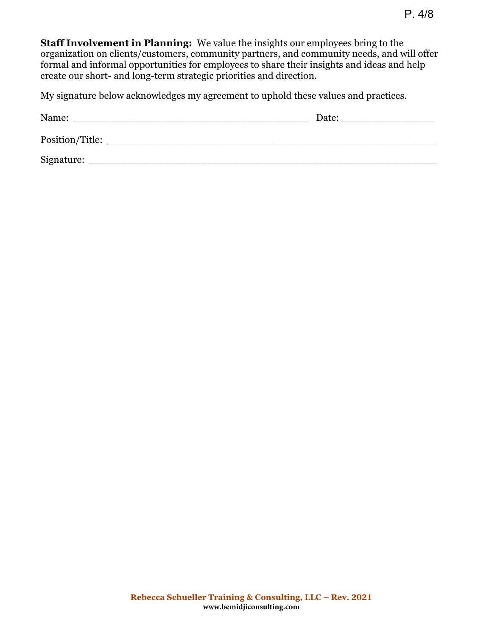**Staff Involvement in Planning:** We value the insights our employees bring to the organization on clients/customers, community partners, and community needs, and will offer formal and informal opportunities for employees to share their insights and ideas and help create our short- and long-term strategic priorities and direction.

My signature below acknowledges my agreement to uphold these values and practices.

| Name:           | Date: |
|-----------------|-------|
| Position/Title: |       |
| Signature:      |       |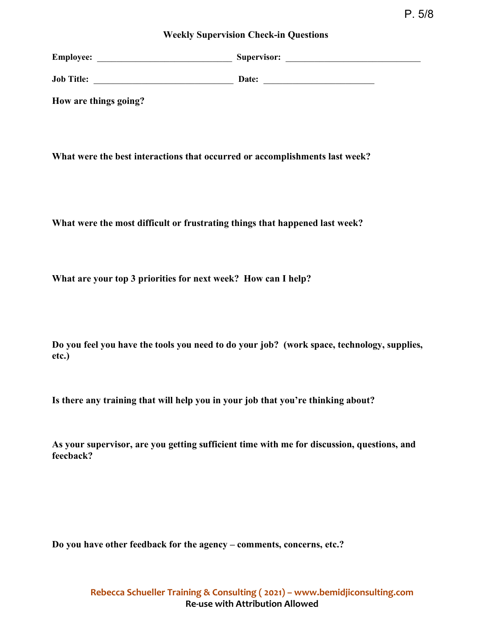#### **Weekly Supervision Check-in Questions**

| <b>Employee:</b>      | Supervisor: |
|-----------------------|-------------|
| <b>Job Title:</b>     | Date:       |
| How are things going? |             |

**What were the best interactions that occurred or accomplishments last week?** 

**What were the most difficult or frustrating things that happened last week?**

**What are your top 3 priorities for next week? How can I help?**

**Do you feel you have the tools you need to do your job? (work space, technology, supplies, etc.)**

**Is there any training that will help you in your job that you're thinking about?** 

**As your supervisor, are you getting sufficient time with me for discussion, questions, and feecback?** 

**Do you have other feedback for the agency – comments, concerns, etc.?**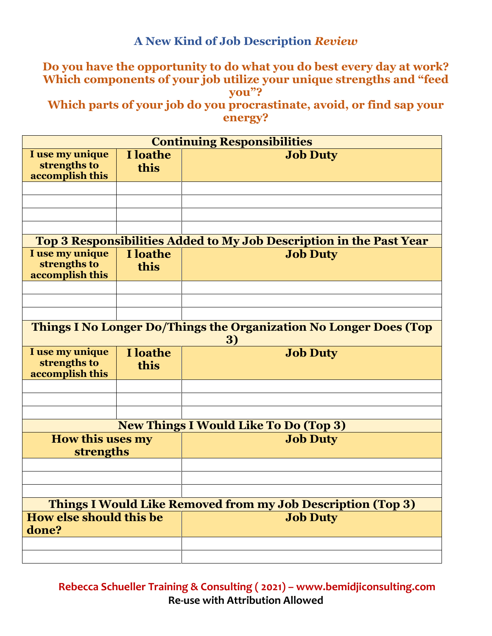### **A New Kind of Job Description** *Review*

#### **Do you have the opportunity to do what you do best every day at work? Which components of your job utilize your unique strengths and "feed you"?**

**Which parts of your job do you procrastinate, avoid, or find sap your energy?**

| <b>Continuing Responsibilities</b>                                             |                  |                                                                     |  |  |
|--------------------------------------------------------------------------------|------------------|---------------------------------------------------------------------|--|--|
| I use my unique<br>strengths to<br>accomplish this                             | I loathe<br>this | <b>Job Duty</b>                                                     |  |  |
|                                                                                |                  |                                                                     |  |  |
|                                                                                |                  |                                                                     |  |  |
|                                                                                |                  |                                                                     |  |  |
|                                                                                |                  |                                                                     |  |  |
|                                                                                |                  | Top 3 Responsibilities Added to My Job Description in the Past Year |  |  |
| I use my unique<br>strengths to<br>accomplish this                             | I loathe<br>this | <b>Job Duty</b>                                                     |  |  |
|                                                                                |                  |                                                                     |  |  |
|                                                                                |                  |                                                                     |  |  |
|                                                                                |                  |                                                                     |  |  |
| <b>Things I No Longer Do/Things the Organization No Longer Does (Top</b><br>3) |                  |                                                                     |  |  |
| I use my unique<br>strengths to<br>accomplish this                             | I loathe<br>this | <b>Job Duty</b>                                                     |  |  |
|                                                                                |                  |                                                                     |  |  |
|                                                                                |                  |                                                                     |  |  |
|                                                                                |                  |                                                                     |  |  |
|                                                                                |                  | <b>New Things I Would Like To Do (Top 3)</b>                        |  |  |
| <b>How this uses my</b><br>strengths                                           |                  | <b>Job Duty</b>                                                     |  |  |
|                                                                                |                  |                                                                     |  |  |
|                                                                                |                  |                                                                     |  |  |
|                                                                                |                  |                                                                     |  |  |
| <b>Things I Would Like Removed from my Job Description (Top 3)</b>             |                  |                                                                     |  |  |
| How else should this be<br>done?                                               |                  | <b>Job Duty</b>                                                     |  |  |
|                                                                                |                  |                                                                     |  |  |
|                                                                                |                  |                                                                     |  |  |

**Rebecca Schueller Training & Consulting ( 2021) – www.bemidjiconsulting.com Re-use with Attribution Allowed**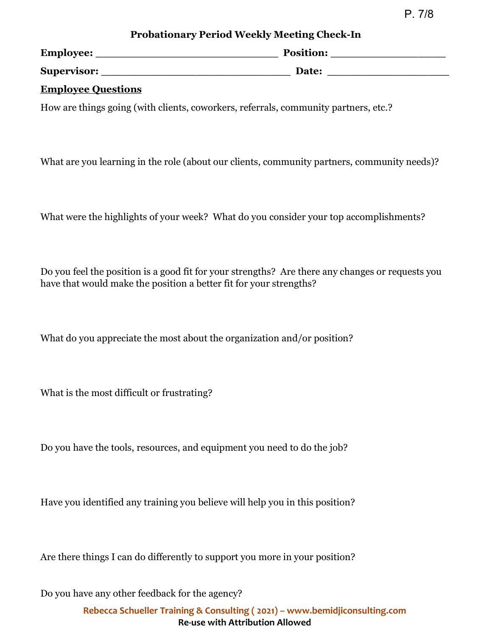P. 7/8

| <b>Probationary Period Weekly Meeting Check-In</b> |  |  |
|----------------------------------------------------|--|--|
|----------------------------------------------------|--|--|

| Employee:   | <b>Position:</b> |
|-------------|------------------|
| Supervisor: | Date:            |

#### **Employee Questions**

How are things going (with clients, coworkers, referrals, community partners, etc.?

What are you learning in the role (about our clients, community partners, community needs)?

What were the highlights of your week? What do you consider your top accomplishments?

Do you feel the position is a good fit for your strengths? Are there any changes or requests you have that would make the position a better fit for your strengths?

What do you appreciate the most about the organization and/or position?

What is the most difficult or frustrating?

Do you have the tools, resources, and equipment you need to do the job?

Have you identified any training you believe will help you in this position?

Are there things I can do differently to support you more in your position?

Do you have any other feedback for the agency?

**Rebecca Schueller Training & Consulting ( 2021) – www.bemidjiconsulting.com Re-use with Attribution Allowed**